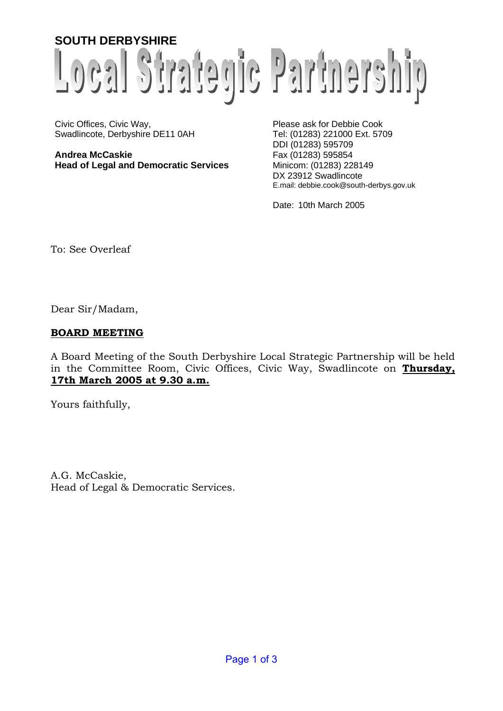# **SOUTH DERBYSHIRE** Local Strategic Partnership

Civic Offices, Civic Way,<br>
Swadlincote, Derbyshire DE11 0AH<br>
Tel: (01283) 221000 Ext. 5709 Swadlincote, Derbyshire DE11 0AH

**Andrea McCaskie** Fax (01283) 595854 **Head of Legal and Democratic Services** Minicom: (01283) 228149

DDI (01283) 595709 DX 23912 Swadlincote E.mail: debbie.cook@south-derbys.gov.uk

Date: 10th March 2005

To: See Overleaf

Dear Sir/Madam,

#### **BOARD MEETING**

A Board Meeting of the South Derbyshire Local Strategic Partnership will be held in the Committee Room, Civic Offices, Civic Way, Swadlincote on **Thursday, 17th March 2005 at 9.30 a.m.**

Yours faithfully,

A.G. McCaskie, Head of Legal & Democratic Services.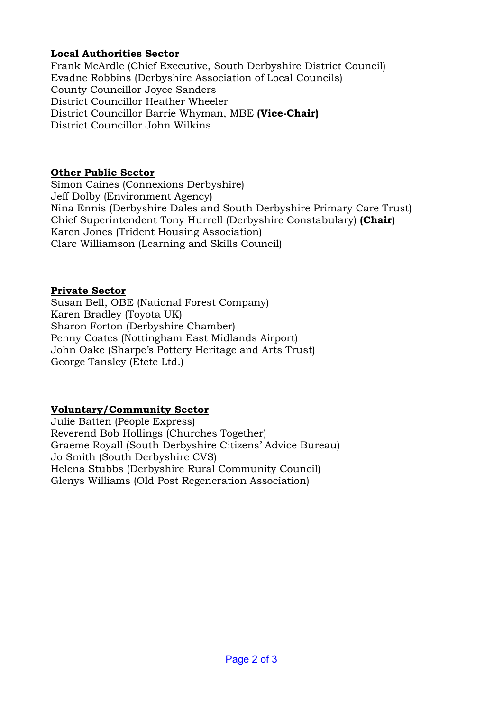# **Local Authorities Sector**

Frank McArdle (Chief Executive, South Derbyshire District Council) Evadne Robbins (Derbyshire Association of Local Councils) County Councillor Joyce Sanders District Councillor Heather Wheeler District Councillor Barrie Whyman, MBE **(Vice-Chair)** District Councillor John Wilkins

#### **Other Public Sector**

Simon Caines (Connexions Derbyshire) Jeff Dolby (Environment Agency) Nina Ennis (Derbyshire Dales and South Derbyshire Primary Care Trust) Chief Superintendent Tony Hurrell (Derbyshire Constabulary) **(Chair)** Karen Jones (Trident Housing Association) Clare Williamson (Learning and Skills Council)

## **Private Sector**

Susan Bell, OBE (National Forest Company) Karen Bradley (Toyota UK) Sharon Forton (Derbyshire Chamber) Penny Coates (Nottingham East Midlands Airport) John Oake (Sharpe's Pottery Heritage and Arts Trust) George Tansley (Etete Ltd.)

## **Voluntary/Community Sector**

Julie Batten (People Express) Reverend Bob Hollings (Churches Together) Graeme Royall (South Derbyshire Citizens' Advice Bureau) Jo Smith (South Derbyshire CVS) Helena Stubbs (Derbyshire Rural Community Council) Glenys Williams (Old Post Regeneration Association)